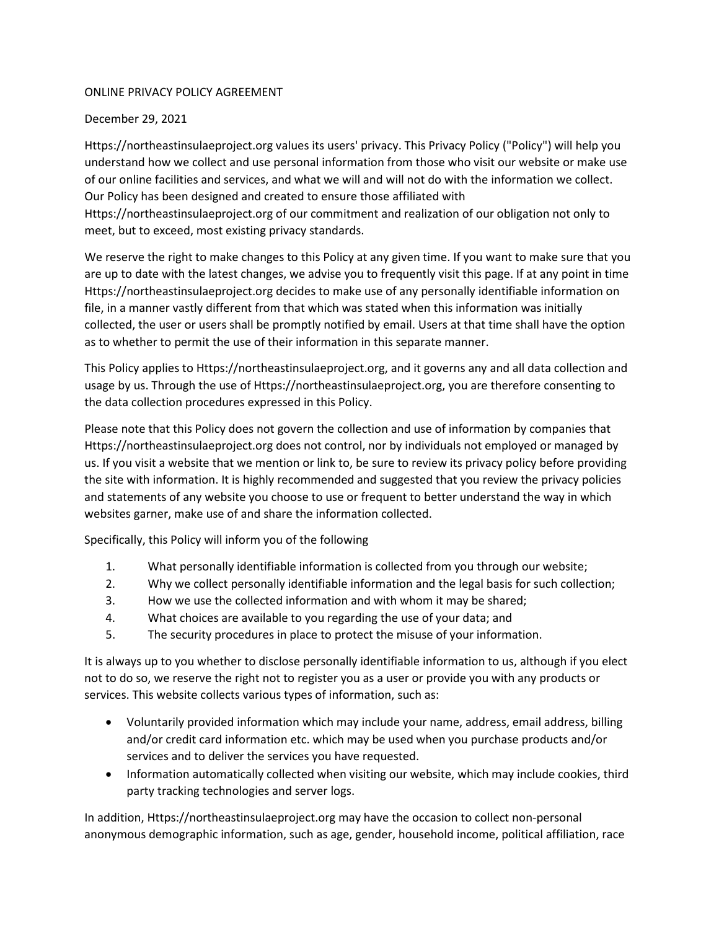### ONLINE PRIVACY POLICY AGREEMENT

## December 29, 2021

Https://northeastinsulaeproject.org values its users' privacy. This Privacy Policy ("Policy") will help you understand how we collect and use personal information from those who visit our website or make use of our online facilities and services, and what we will and will not do with the information we collect. Our Policy has been designed and created to ensure those affiliated with Https://northeastinsulaeproject.org of our commitment and realization of our obligation not only to meet, but to exceed, most existing privacy standards.

We reserve the right to make changes to this Policy at any given time. If you want to make sure that you are up to date with the latest changes, we advise you to frequently visit this page. If at any point in time Https://northeastinsulaeproject.org decides to make use of any personally identifiable information on file, in a manner vastly different from that which was stated when this information was initially collected, the user or users shall be promptly notified by email. Users at that time shall have the option as to whether to permit the use of their information in this separate manner.

This Policy applies to Https://northeastinsulaeproject.org, and it governs any and all data collection and usage by us. Through the use of Https://northeastinsulaeproject.org, you are therefore consenting to the data collection procedures expressed in this Policy.

Please note that this Policy does not govern the collection and use of information by companies that Https://northeastinsulaeproject.org does not control, nor by individuals not employed or managed by us. If you visit a website that we mention or link to, be sure to review its privacy policy before providing the site with information. It is highly recommended and suggested that you review the privacy policies and statements of any website you choose to use or frequent to better understand the way in which websites garner, make use of and share the information collected.

Specifically, this Policy will inform you of the following

- 1. What personally identifiable information is collected from you through our website;
- 2. Why we collect personally identifiable information and the legal basis for such collection;
- 3. How we use the collected information and with whom it may be shared;
- 4. What choices are available to you regarding the use of your data; and
- 5. The security procedures in place to protect the misuse of your information.

It is always up to you whether to disclose personally identifiable information to us, although if you elect not to do so, we reserve the right not to register you as a user or provide you with any products or services. This website collects various types of information, such as:

- Voluntarily provided information which may include your name, address, email address, billing and/or credit card information etc. which may be used when you purchase products and/or services and to deliver the services you have requested.
- Information automatically collected when visiting our website, which may include cookies, third party tracking technologies and server logs.

In addition, Https://northeastinsulaeproject.org may have the occasion to collect non-personal anonymous demographic information, such as age, gender, household income, political affiliation, race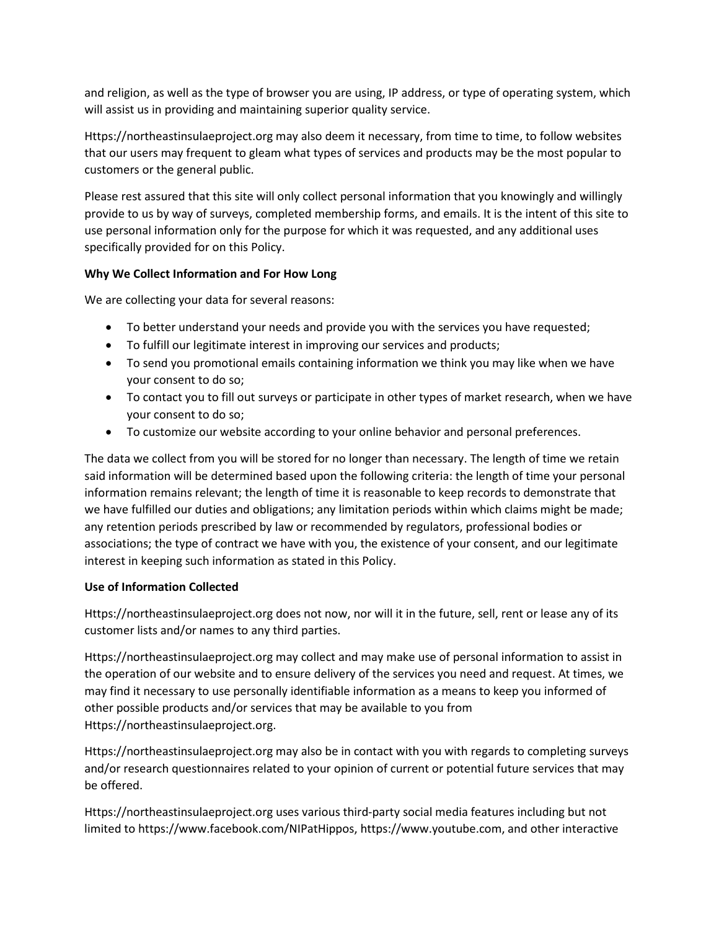and religion, as well as the type of browser you are using, IP address, or type of operating system, which will assist us in providing and maintaining superior quality service.

Https://northeastinsulaeproject.org may also deem it necessary, from time to time, to follow websites that our users may frequent to gleam what types of services and products may be the most popular to customers or the general public.

Please rest assured that this site will only collect personal information that you knowingly and willingly provide to us by way of surveys, completed membership forms, and emails. It is the intent of this site to use personal information only for the purpose for which it was requested, and any additional uses specifically provided for on this Policy.

## **Why We Collect Information and For How Long**

We are collecting your data for several reasons:

- To better understand your needs and provide you with the services you have requested;
- To fulfill our legitimate interest in improving our services and products;
- To send you promotional emails containing information we think you may like when we have your consent to do so;
- To contact you to fill out surveys or participate in other types of market research, when we have your consent to do so;
- To customize our website according to your online behavior and personal preferences.

The data we collect from you will be stored for no longer than necessary. The length of time we retain said information will be determined based upon the following criteria: the length of time your personal information remains relevant; the length of time it is reasonable to keep records to demonstrate that we have fulfilled our duties and obligations; any limitation periods within which claims might be made; any retention periods prescribed by law or recommended by regulators, professional bodies or associations; the type of contract we have with you, the existence of your consent, and our legitimate interest in keeping such information as stated in this Policy.

# **Use of Information Collected**

Https://northeastinsulaeproject.org does not now, nor will it in the future, sell, rent or lease any of its customer lists and/or names to any third parties.

Https://northeastinsulaeproject.org may collect and may make use of personal information to assist in the operation of our website and to ensure delivery of the services you need and request. At times, we may find it necessary to use personally identifiable information as a means to keep you informed of other possible products and/or services that may be available to you from Https://northeastinsulaeproject.org.

Https://northeastinsulaeproject.org may also be in contact with you with regards to completing surveys and/or research questionnaires related to your opinion of current or potential future services that may be offered.

Https://northeastinsulaeproject.org uses various third-party social media features including but not limited to https://www.facebook.com/NIPatHippos, https://www.youtube.com, and other interactive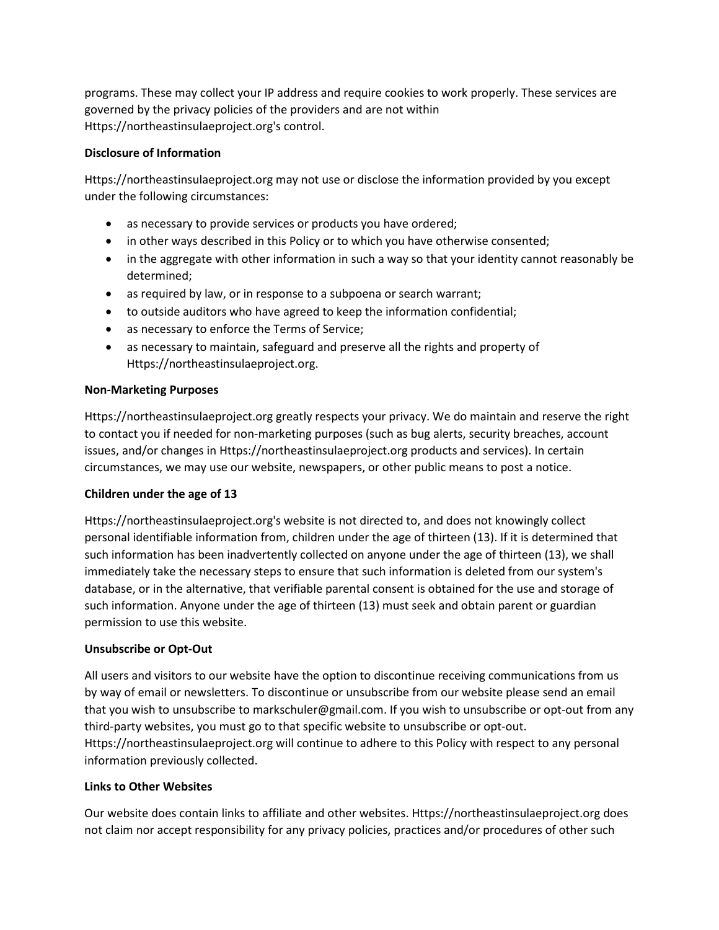programs. These may collect your IP address and require cookies to work properly. These services are governed by the privacy policies of the providers and are not within Https://northeastinsulaeproject.org's control.

## **Disclosure of Information**

Https://northeastinsulaeproject.org may not use or disclose the information provided by you except under the following circumstances:

- as necessary to provide services or products you have ordered;
- in other ways described in this Policy or to which you have otherwise consented;
- in the aggregate with other information in such a way so that your identity cannot reasonably be determined;
- as required by law, or in response to a subpoena or search warrant;
- to outside auditors who have agreed to keep the information confidential;
- as necessary to enforce the Terms of Service;
- as necessary to maintain, safeguard and preserve all the rights and property of Https://northeastinsulaeproject.org.

#### **Non-Marketing Purposes**

Https://northeastinsulaeproject.org greatly respects your privacy. We do maintain and reserve the right to contact you if needed for non-marketing purposes (such as bug alerts, security breaches, account issues, and/or changes in Https://northeastinsulaeproject.org products and services). In certain circumstances, we may use our website, newspapers, or other public means to post a notice.

### **Children under the age of 13**

Https://northeastinsulaeproject.org's website is not directed to, and does not knowingly collect personal identifiable information from, children under the age of thirteen (13). If it is determined that such information has been inadvertently collected on anyone under the age of thirteen (13), we shall immediately take the necessary steps to ensure that such information is deleted from our system's database, or in the alternative, that verifiable parental consent is obtained for the use and storage of such information. Anyone under the age of thirteen (13) must seek and obtain parent or guardian permission to use this website.

### **Unsubscribe or Opt-Out**

All users and visitors to our website have the option to discontinue receiving communications from us by way of email or newsletters. To discontinue or unsubscribe from our website please send an email that you wish to unsubscribe to markschuler@gmail.com. If you wish to unsubscribe or opt-out from any third-party websites, you must go to that specific website to unsubscribe or opt-out. Https://northeastinsulaeproject.org will continue to adhere to this Policy with respect to any personal information previously collected.

#### **Links to Other Websites**

Our website does contain links to affiliate and other websites. Https://northeastinsulaeproject.org does not claim nor accept responsibility for any privacy policies, practices and/or procedures of other such